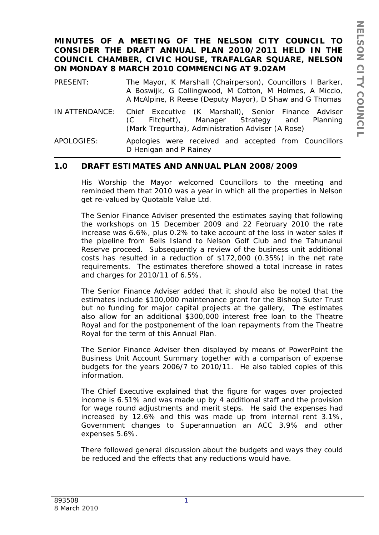### **MINUTES OF A MEETING OF THE NELSON CITY COUNCIL TO CONSIDER THE DRAFT ANNUAL PLAN 2010/2011 HELD IN THE COUNCIL CHAMBER, CIVIC HOUSE, TRAFALGAR SQUARE, NELSON ON MONDAY 8 MARCH 2010 COMMENCING AT 9.02AM**

| PRESENT:       | The Mayor, K Marshall (Chairperson), Councillors I Barker,<br>A Boswijk, G Collingwood, M Cotton, M Holmes, A Miccio,<br>A McAlpine, R Reese (Deputy Mayor), D Shaw and G Thomas |
|----------------|----------------------------------------------------------------------------------------------------------------------------------------------------------------------------------|
| IN ATTENDANCE: | Chief Executive (K Marshall), Senior Finance Adviser<br>Fitchett), Manager Strategy and<br>Planning<br>(C)<br>(Mark Tregurtha), Administration Adviser (A Rose)                  |
| APOLOGIES:     | Apologies were received and accepted from Councillors<br>D Henigan and P Rainey                                                                                                  |

## **1.0 DRAFT ESTIMATES AND ANNUAL PLAN 2008/2009**

His Worship the Mayor welcomed Councillors to the meeting and reminded them that 2010 was a year in which all the properties in Nelson get re-valued by Quotable Value Ltd.

The Senior Finance Adviser presented the estimates saying that following the workshops on 15 December 2009 and 22 February 2010 the rate increase was 6.6%, plus 0.2% to take account of the loss in water sales if the pipeline from Bells Island to Nelson Golf Club and the Tahunanui Reserve proceed. Subsequently a review of the business unit additional costs has resulted in a reduction of \$172,000 (0.35%) in the net rate requirements. The estimates therefore showed a total increase in rates and charges for 2010/11 of 6.5%.

The Senior Finance Adviser added that it should also be noted that the estimates include \$100,000 maintenance grant for the Bishop Suter Trust but no funding for major capital projects at the gallery, The estimates also allow for an additional \$300,000 interest free loan to the Theatre Royal and for the postponement of the loan repayments from the Theatre Royal for the term of this Annual Plan.

The Senior Finance Adviser then displayed by means of PowerPoint the Business Unit Account Summary together with a comparison of expense budgets for the years 2006/7 to 2010/11. He also tabled copies of this information.

The Chief Executive explained that the figure for wages over projected income is 6.51% and was made up by 4 additional staff and the provision for wage round adjustments and merit steps. He said the expenses had increased by 12.6% and this was made up from internal rent 3.1%, Government changes to Superannuation an ACC 3.9% and other expenses 5.6%.

There followed general discussion about the budgets and ways they could be reduced and the effects that any reductions would have.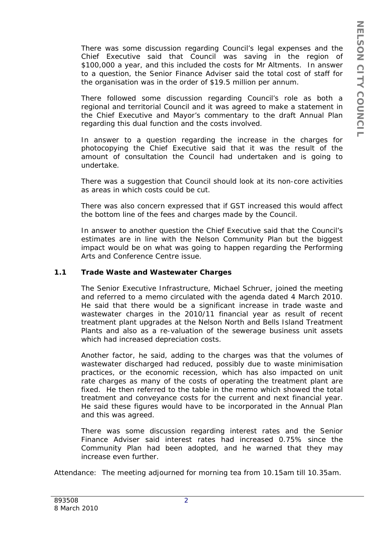There was some discussion regarding Council's legal expenses and the Chief Executive said that Council was saving in the region of \$100,000 a year, and this included the costs for Mr Altments. In answer to a question, the Senior Finance Adviser said the total cost of staff for the organisation was in the order of \$19.5 million per annum.

There followed some discussion regarding Council's role as both a regional and territorial Council and it was agreed to make a statement in the Chief Executive and Mayor's commentary to the draft Annual Plan regarding this dual function and the costs involved.

In answer to a question regarding the increase in the charges for photocopying the Chief Executive said that it was the result of the amount of consultation the Council had undertaken and is going to undertake.

There was a suggestion that Council should look at its non-core activities as areas in which costs could be cut.

There was also concern expressed that if GST increased this would affect the bottom line of the fees and charges made by the Council.

In answer to another question the Chief Executive said that the Council's estimates are in line with the Nelson Community Plan but the biggest impact would be on what was going to happen regarding the Performing Arts and Conference Centre issue.

#### **1.1 Trade Waste and Wastewater Charges**

The Senior Executive Infrastructure, Michael Schruer, joined the meeting and referred to a memo circulated with the agenda dated 4 March 2010. He said that there would be a significant increase in trade waste and wastewater charges in the 2010/11 financial year as result of recent treatment plant upgrades at the Nelson North and Bells Island Treatment Plants and also as a re-valuation of the sewerage business unit assets which had increased depreciation costs.

Another factor, he said, adding to the charges was that the volumes of wastewater discharged had reduced, possibly due to waste minimisation practices, or the economic recession, which has also impacted on unit rate charges as many of the costs of operating the treatment plant are fixed. He then referred to the table in the memo which showed the total treatment and conveyance costs for the current and next financial year. He said these figures would have to be incorporated in the Annual Plan and this was agreed.

There was some discussion regarding interest rates and the Senior Finance Adviser said interest rates had increased 0.75% since the Community Plan had been adopted, and he warned that they may increase even further.

Attendance: The meeting adjourned for morning tea from 10.15am till 10.35am.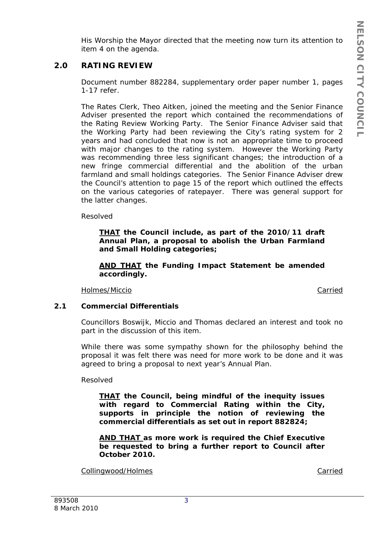His Worship the Mayor directed that the meeting now turn its attention to item 4 on the agenda.

# **2.0 RATING REVIEW**

Document number 882284, supplementary order paper number 1, pages 1-17 refer.

The Rates Clerk, Theo Aitken, joined the meeting and the Senior Finance Adviser presented the report which contained the recommendations of the Rating Review Working Party. The Senior Finance Adviser said that the Working Party had been reviewing the City's rating system for 2 years and had concluded that now is not an appropriate time to proceed with major changes to the rating system. However the Working Party was recommending three less significant changes; the introduction of a new fringe commercial differential and the abolition of the urban farmland and small holdings categories. The Senior Finance Adviser drew the Council's attention to page 15 of the report which outlined the effects on the various categories of ratepayer. There was general support for the latter changes.

Resolved

*THAT the Council include, as part of the 2010/11 draft Annual Plan, a proposal to abolish the Urban Farmland and Small Holding categories;* 

*AND THAT the Funding Impact Statement be amended accordingly.* 

Holmes/Miccio Carried

### **2.1 Commercial Differentials**

Councillors Boswijk, Miccio and Thomas declared an interest and took no part in the discussion of this item.

While there was some sympathy shown for the philosophy behind the proposal it was felt there was need for more work to be done and it was agreed to bring a proposal to next year's Annual Plan.

Resolved

*THAT the Council, being mindful of the inequity issues with regard to Commercial Rating within the City, supports in principle the notion of reviewing the commercial differentials as set out in report 882824;* 

*AND THAT as more work is required the Chief Executive be requested to bring a further report to Council after October 2010.* 

Collingwood/Holmes **Carried**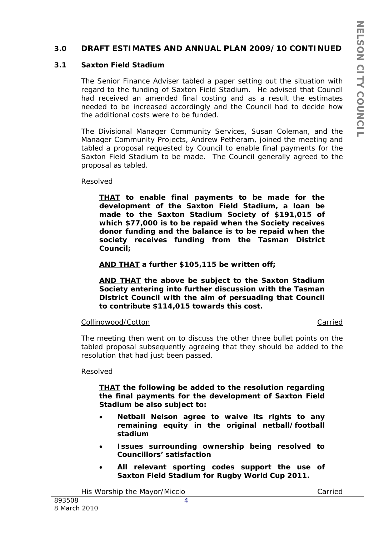### **3.0 DRAFT ESTIMATES AND ANNUAL PLAN 2009/10 CONTINUED**

#### **3.1 Saxton Field Stadium**

The Senior Finance Adviser tabled a paper setting out the situation with regard to the funding of Saxton Field Stadium. He advised that Council had received an amended final costing and as a result the estimates needed to be increased accordingly and the Council had to decide how the additional costs were to be funded.

The Divisional Manager Community Services, Susan Coleman, and the Manager Community Projects, Andrew Petheram, joined the meeting and tabled a proposal requested by Council to enable final payments for the Saxton Field Stadium to be made. The Council generally agreed to the proposal as tabled.

Resolved

*THAT to enable final payments to be made for the development of the Saxton Field Stadium, a loan be made to the Saxton Stadium Society of \$191,015 of which \$77,000 is to be repaid when the Society receives donor funding and the balance is to be repaid when the society receives funding from the Tasman District Council;* 

#### *AND THAT a further \$105,115 be written off;*

*AND THAT the above be subject to the Saxton Stadium Society entering into further discussion with the Tasman District Council with the aim of persuading that Council to contribute \$114,015 towards this cost.* 

#### Collingwood/Cotton Carried

The meeting then went on to discuss the other three bullet points on the tabled proposal subsequently agreeing that they should be added to the resolution that had just been passed.

Resolved

### *THAT the following be added to the resolution regarding the final payments for the development of Saxton Field Stadium be also subject to:*

- *Netball Nelson agree to waive its rights to any remaining equity in the original netball/football stadium*
- *Issues surrounding ownership being resolved to Councillors' satisfaction*
- *All relevant sporting codes support the use of Saxton Field Stadium for Rugby World Cup 2011.*

His Worship the Mayor/Miccio Carried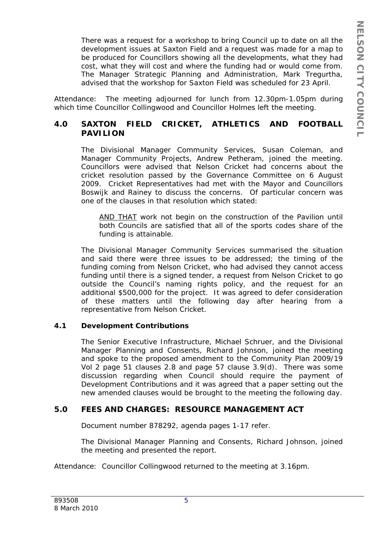There was a request for a workshop to bring Council up to date on all the development issues at Saxton Field and a request was made for a map to be produced for Councillors showing all the developments, what they had cost, what they will cost and where the funding had or would come from. The Manager Strategic Planning and Administration, Mark Tregurtha, advised that the workshop for Saxton Field was scheduled for 23 April.

Attendance: The meeting adjourned for lunch from 12.30pm-1.05pm during which time Councillor Collingwood and Councillor Holmes left the meeting.

# **4.0 SAXTON FIELD CRICKET, ATHLETICS AND FOOTBALL PAVILION**

The Divisional Manager Community Services, Susan Coleman, and Manager Community Projects, Andrew Petheram, joined the meeting. Councillors were advised that Nelson Cricket had concerns about the cricket resolution passed by the Governance Committee on 6 August 2009. Cricket Representatives had met with the Mayor and Councillors Boswijk and Rainey to discuss the concerns. Of particular concern was one of the clauses in that resolution which stated:

*AND THAT work not begin on the construction of the Pavilion until both Councils are satisfied that all of the sports codes share of the funding is attainable.* 

The Divisional Manager Community Services summarised the situation and said there were three issues to be addressed; the timing of the funding coming from Nelson Cricket, who had advised they cannot access funding until there is a signed tender, a request from Nelson Cricket to go outside the Council's naming rights policy, and the request for an additional \$500,000 for the project. It was agreed to defer consideration of these matters until the following day after hearing from a representative from Nelson Cricket.

## **4.1 Development Contributions**

The Senior Executive Infrastructure, Michael Schruer, and the Divisional Manager Planning and Consents, Richard Johnson, joined the meeting and spoke to the proposed amendment to the Community Plan 2009/19 Vol 2 page 51 clauses 2.8 and page 57 clause 3.9(d). There was some discussion regarding when Council should require the payment of Development Contributions and it was agreed that a paper setting out the new amended clauses would be brought to the meeting the following day.

# **5.0 FEES AND CHARGES: RESOURCE MANAGEMENT ACT**

Document number 878292, agenda pages 1-17 refer.

The Divisional Manager Planning and Consents, Richard Johnson, joined the meeting and presented the report.

Attendance: Councillor Collingwood returned to the meeting at 3.16pm.